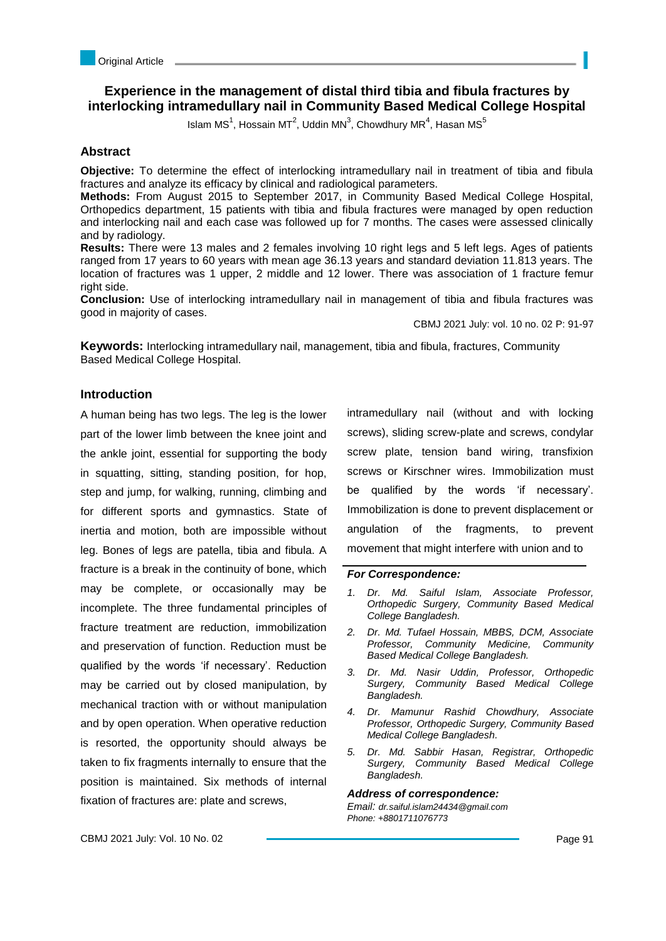# **Experience in the management of distal third tibia and fibula fractures by interlocking intramedullary nail in Community Based Medical College Hospital**

Islam MS<sup>1</sup>, Hossain MT<sup>2</sup>, Uddin MN<sup>3</sup>, Chowdhury MR<sup>4</sup>, Hasan MS<sup>5</sup>

### **Abstract**

**Objective:** To determine the effect of interlocking intramedullary nail in treatment of tibia and fibula fractures and analyze its efficacy by clinical and radiological parameters.

**Methods:** From August 2015 to September 2017, in Community Based Medical College Hospital, Orthopedics department, 15 patients with tibia and fibula fractures were managed by open reduction and interlocking nail and each case was followed up for 7 months. The cases were assessed clinically and by radiology.

**Results:** There were 13 males and 2 females involving 10 right legs and 5 left legs. Ages of patients ranged from 17 years to 60 years with mean age 36.13 years and standard deviation 11.813 years. The location of fractures was 1 upper, 2 middle and 12 lower. There was association of 1 fracture femur right side.

**Conclusion:** Use of interlocking intramedullary nail in management of tibia and fibula fractures was good in majority of cases.

CBMJ 2021 July: vol. 10 no. 02 P: 91-97

п

**Keywords:** Interlocking intramedullary nail, management, tibia and fibula, fractures, Community Based Medical College Hospital.

## **Introduction**

A human being has two legs. The leg is the lower part of the lower limb between the knee joint and the ankle joint, essential for supporting the body in squatting, sitting, standing position, for hop, step and jump, for walking, running, climbing and for different sports and gymnastics. State of inertia and motion, both are impossible without leg. Bones of legs are patella, tibia and fibula. A fracture is a break in the continuity of bone, which may be complete, or occasionally may be incomplete. The three fundamental principles of fracture treatment are reduction, immobilization and preservation of function. Reduction must be qualified by the words 'if necessary'. Reduction may be carried out by closed manipulation, by mechanical traction with or without manipulation and by open operation. When operative reduction is resorted, the opportunity should always be taken to fix fragments internally to ensure that the position is maintained. Six methods of internal fixation of fractures are: plate and screws,

intramedullary nail (without and with locking screws), sliding screw-plate and screws, condylar screw plate, tension band wiring, transfixion screws or Kirschner wires. Immobilization must be qualified by the words 'if necessary'. Immobilization is done to prevent displacement or angulation of the fragments, to prevent movement that might interfere with union and to

#### *For Correspondence:*

- *1. Dr. Md. Saiful Islam, Associate Professor, Orthopedic Surgery, Community Based Medical College Bangladesh.*
- *2. Dr. Md. Tufael Hossain, MBBS, DCM, Associate Professor, Community Medicine, Community Based Medical College Bangladesh.*
- *3. Dr. Md. Nasir Uddin, Professor, Orthopedic Surgery, Community Based Medical College Bangladesh.*
- *4. Dr. Mamunur Rashid Chowdhury, Associate Professor, Orthopedic Surgery, Community Based Medical College Bangladesh.*
- *5. Dr. Md. Sabbir Hasan, Registrar, Orthopedic Surgery, Community Based Medical College Bangladesh.*

#### *Address of correspondence:*

*Email: dr.saiful.islam24434@gmail.com Phone: +8801711076773*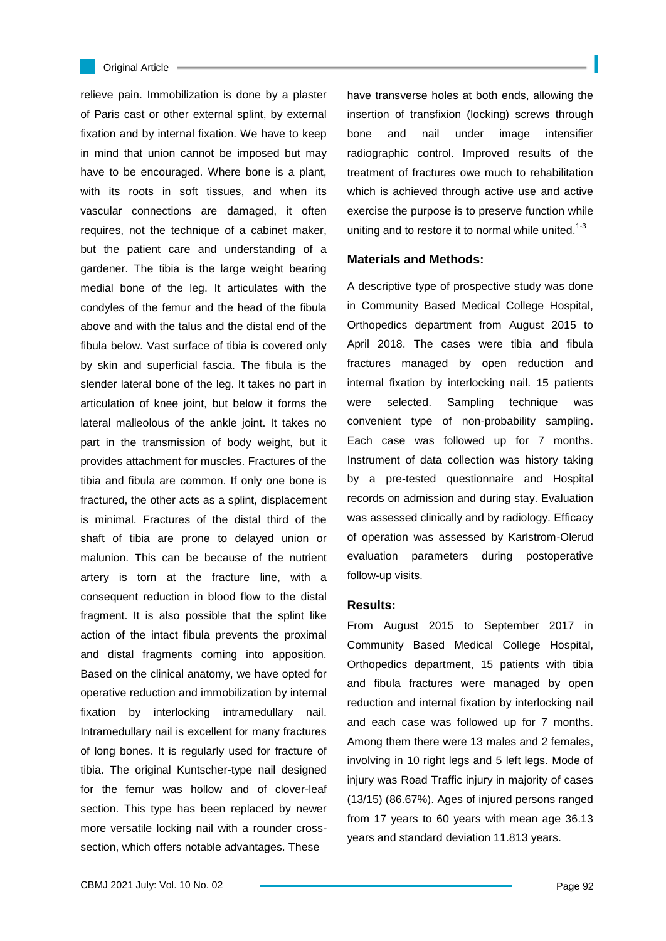#### Original Article

relieve pain. Immobilization is done by a plaster of Paris cast or other external splint, by external fixation and by internal fixation. We have to keep in mind that union cannot be imposed but may have to be encouraged. Where bone is a plant, with its roots in soft tissues, and when its vascular connections are damaged, it often requires, not the technique of a cabinet maker, but the patient care and understanding of a gardener. The tibia is the large weight bearing medial bone of the leg. It articulates with the condyles of the femur and the head of the fibula above and with the talus and the distal end of the fibula below. Vast surface of tibia is covered only by skin and superficial fascia. The fibula is the slender lateral bone of the leg. It takes no part in articulation of knee joint, but below it forms the lateral malleolous of the ankle joint. It takes no part in the transmission of body weight, but it provides attachment for muscles. Fractures of the tibia and fibula are common. If only one bone is fractured, the other acts as a splint, displacement is minimal. Fractures of the distal third of the shaft of tibia are prone to delayed union or malunion. This can be because of the nutrient artery is torn at the fracture line, with a consequent reduction in blood flow to the distal fragment. It is also possible that the splint like action of the intact fibula prevents the proximal and distal fragments coming into apposition. Based on the clinical anatomy, we have opted for operative reduction and immobilization by internal fixation by interlocking intramedullary nail. Intramedullary nail is excellent for many fractures of long bones. It is regularly used for fracture of tibia. The original Kuntscher-type nail designed for the femur was hollow and of clover-leaf section. This type has been replaced by newer more versatile locking nail with a rounder crosssection, which offers notable advantages. These

have transverse holes at both ends, allowing the insertion of transfixion (locking) screws through bone and nail under image intensifier radiographic control. Improved results of the treatment of fractures owe much to rehabilitation which is achieved through active use and active exercise the purpose is to preserve function while uniting and to restore it to normal while united.<sup>1-3</sup>

### **Materials and Methods:**

A descriptive type of prospective study was done in Community Based Medical College Hospital, Orthopedics department from August 2015 to April 2018. The cases were tibia and fibula fractures managed by open reduction and internal fixation by interlocking nail. 15 patients were selected. Sampling technique was convenient type of non-probability sampling. Each case was followed up for 7 months. Instrument of data collection was history taking by a pre-tested questionnaire and Hospital records on admission and during stay. Evaluation was assessed clinically and by radiology. Efficacy of operation was assessed by Karlstrom-Olerud evaluation parameters during postoperative follow-up visits.

#### **Results:**

From August 2015 to September 2017 in Community Based Medical College Hospital, Orthopedics department, 15 patients with tibia and fibula fractures were managed by open reduction and internal fixation by interlocking nail and each case was followed up for 7 months. Among them there were 13 males and 2 females, involving in 10 right legs and 5 left legs. Mode of injury was Road Traffic injury in majority of cases (13/15) (86.67%). Ages of injured persons ranged from 17 years to 60 years with mean age 36.13 years and standard deviation 11.813 years.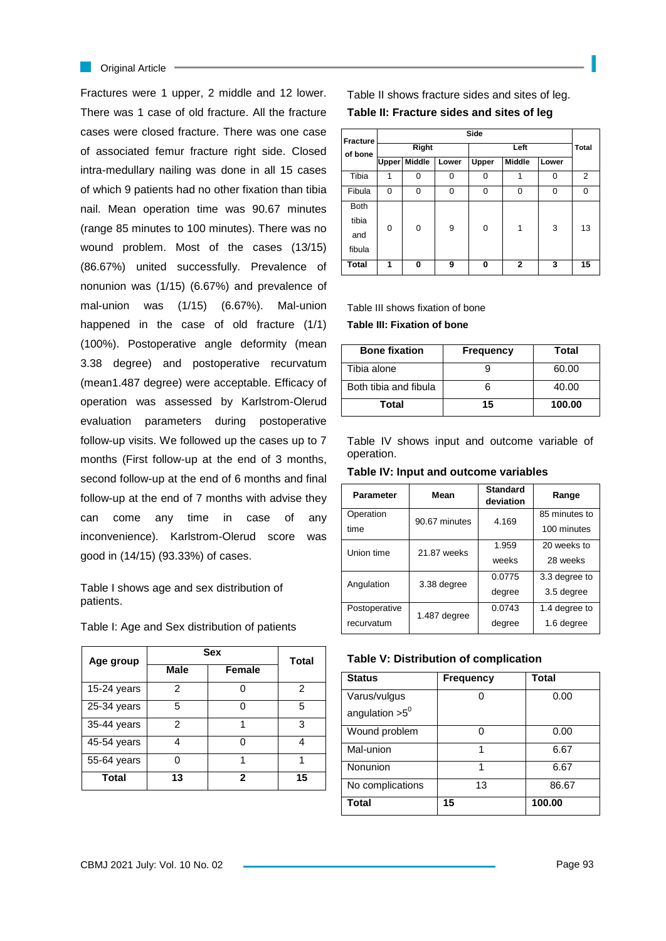#### **Criginal Article**

Fractures were 1 upper, 2 middle and 12 lower. There was 1 case of old fracture. All the fracture cases were closed fracture. There was one case of associated femur fracture right side. Closed intra-medullary nailing was done in all 15 cases of which 9 patients had no other fixation than tibia nail. Mean operation time was 90.67 minutes (range 85 minutes to 100 minutes). There was no wound problem. Most of the cases (13/15) (86.67%) united successfully. Prevalence of nonunion was (1/15) (6.67%) and prevalence of mal-union was (1/15) (6.67%). Mal-union happened in the case of old fracture (1/1) (100%). Postoperative angle deformity (mean 3.38 degree) and postoperative recurvatum (mean1.487 degree) were acceptable. Efficacy of operation was assessed by Karlstrom-Olerud evaluation parameters during postoperative follow-up visits. We followed up the cases up to 7 months (First follow-up at the end of 3 months, second follow-up at the end of 6 months and final follow-up at the end of 7 months with advise they can come any time in case of any inconvenience). Karlstrom-Olerud score was good in (14/15) (93.33%) of cases.

Table I shows age and sex distribution of patients.

| Age group   | Sex         | <b>Total</b> |    |
|-------------|-------------|--------------|----|
|             | <b>Male</b> | Female       |    |
| 15-24 years | 2           |              | 2  |
| 25-34 years | 5           |              | 5  |
| 35-44 years | 2           |              | з  |
| 45-54 years |             |              |    |
| 55-64 years |             |              |    |
| Total       | 13          | 2            | 15 |

Table I: Age and Sex distribution of patients

Table II shows fracture sides and sites of leg. **Table II: Fracture sides and sites of leg**

| <b>Fracture</b> | Side         |               |       |       |               |              |          |
|-----------------|--------------|---------------|-------|-------|---------------|--------------|----------|
| of bone         | <b>Right</b> |               | Left  |       |               | <b>Total</b> |          |
|                 | <b>Upper</b> | <b>Middle</b> | Lower | Upper | <b>Middle</b> | Lower        |          |
| Tibia           | 1            | 0             | 0     | 0     | 1             | $\Omega$     | 2        |
| Fibula          | 0            | 0             | 0     | 0     | 0             | 0            | $\Omega$ |
| <b>Both</b>     |              |               |       |       |               |              |          |
| tibia           | 0            | 0             | 9     | 0     | 1             | 3            | 13       |
| and             |              |               |       |       |               |              |          |
| fibula          |              |               |       |       |               |              |          |
| <b>Total</b>    | 1            | 0             | 9     | 0     | $\mathbf{2}$  | 3            | 15       |

Table III shows fixation of bone **Table III: Fixation of bone**

| <b>Bone fixation</b>  | <b>Frequency</b> | Total  |
|-----------------------|------------------|--------|
| Tibia alone           |                  | 60.00  |
| Both tibia and fibula |                  | 40.00  |
| Total                 | 15               | 100.00 |

Table IV shows input and outcome variable of operation.

**Table IV: Input and outcome variables**

| <b>Parameter</b> | Mean          | <b>Standard</b><br>deviation | Range         |
|------------------|---------------|------------------------------|---------------|
| Operation        | 90.67 minutes | 4.169                        | 85 minutes to |
| time             |               |                              | 100 minutes   |
| Union time       | 21.87 weeks   | 1.959                        | 20 weeks to   |
|                  |               | weeks                        | 28 weeks      |
| Angulation       |               |                              | 3.3 degree to |
|                  | 3.38 degree   | degree                       | 3.5 degree    |
| Postoperative    | 1.487 degree  | 0.0743                       | 1.4 degree to |
| recurvatum       |               | degree                       | 1.6 degree    |

| <b>Status</b>     | <b>Frequency</b> | <b>Total</b> |
|-------------------|------------------|--------------|
| Varus/vulgus      |                  | 0.00         |
| angulation $>5^0$ |                  |              |
| Wound problem     | በ                | 0.00         |
| Mal-union         | 1                | 6.67         |
| Nonunion          |                  | 6.67         |
| No complications  | 13               | 86.67        |
| Total             | 15               | 100.00       |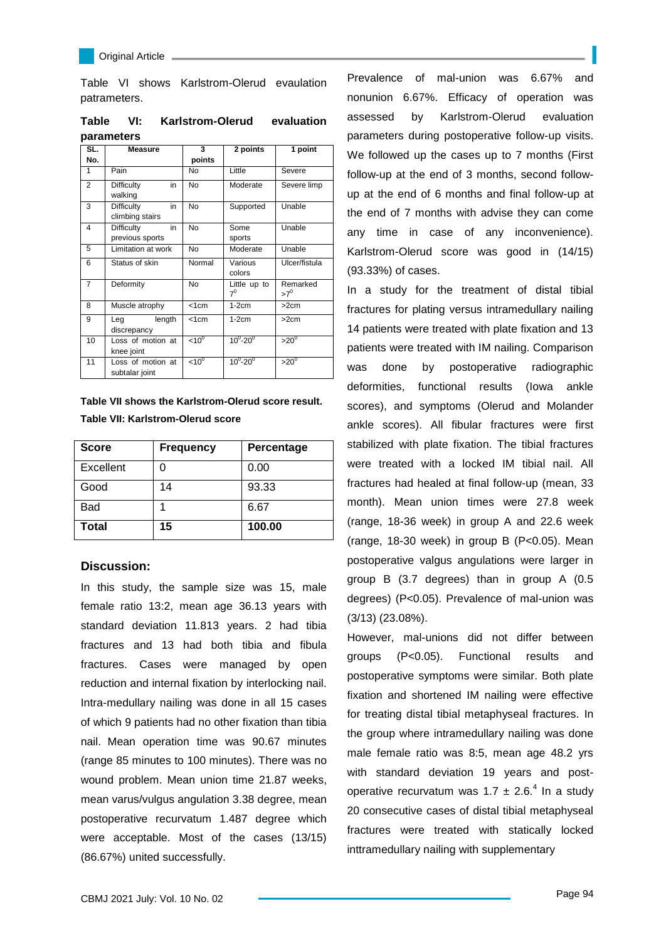Table VI shows Karlstrom-Olerud evaulation patrameters.

**Table VI: Karlstrom-Olerud evaluation parameters**

| SL.                     | <b>Measure</b>                      | 3                   | 2 points              | 1 point                  |
|-------------------------|-------------------------------------|---------------------|-----------------------|--------------------------|
| No.                     |                                     | points              |                       |                          |
| 1                       | Pain                                | <b>No</b>           | Little                | Severe                   |
| $\overline{2}$          | Difficulty<br>in<br>walking         | <b>No</b>           | Moderate              | Severe limp              |
| 3                       | Difficulty<br>in<br>climbing stairs | <b>No</b>           | Supported             | Unable                   |
| $\overline{\mathbf{4}}$ | in<br>Difficulty<br>previous sports | <b>No</b>           | Some<br>sports        | Unable                   |
| 5                       | Limitation at work                  | <b>No</b>           | Moderate              | Unable                   |
| 6                       | Status of skin                      | Normal              | Various<br>colors     | Ulcer/fistula            |
| $\overline{7}$          | Deformity                           | No                  | Little up to<br>$7^0$ | Remarked<br>$>7^{\circ}$ |
| 8                       | Muscle atrophy                      | < 1 cm              | $1-2cm$               | >2cm                     |
| 9                       | length<br>Leg<br>discrepancy        | < 1 cm              | $1-2cm$               | >2cm                     |
| 10                      | Loss of motion at<br>knee joint     | $< 10$ <sup>0</sup> | $10^{0} - 20^{0}$     | $>20^\circ$              |
| 11                      | Loss of motion at<br>subtalar joint | $< 10$ <sup>0</sup> | $10^{0} - 20^{0}$     | $>20$ <sup>0</sup>       |

**Table VII shows the Karlstrom-Olerud score result. Table VII: Karlstrom-Olerud score**

| <b>Score</b> | <b>Frequency</b> | Percentage |
|--------------|------------------|------------|
| Excellent    |                  | 0.00       |
| Good         | 14               | 93.33      |
| Bad          |                  | 6.67       |
| Total        | 15               | 100.00     |

## **Discussion:**

In this study, the sample size was 15, male female ratio 13:2, mean age 36.13 years with standard deviation 11.813 years. 2 had tibia fractures and 13 had both tibia and fibula fractures. Cases were managed by open reduction and internal fixation by interlocking nail. Intra-medullary nailing was done in all 15 cases of which 9 patients had no other fixation than tibia nail. Mean operation time was 90.67 minutes (range 85 minutes to 100 minutes). There was no wound problem. Mean union time 21.87 weeks, mean varus/vulgus angulation 3.38 degree, mean postoperative recurvatum 1.487 degree which were acceptable. Most of the cases (13/15) (86.67%) united successfully.

Prevalence of mal-union was 6.67% and nonunion 6.67%. Efficacy of operation was assessed by Karlstrom-Olerud evaluation parameters during postoperative follow-up visits. We followed up the cases up to 7 months (First follow-up at the end of 3 months, second followup at the end of 6 months and final follow-up at the end of 7 months with advise they can come any time in case of any inconvenience). Karlstrom-Olerud score was good in (14/15) (93.33%) of cases.

In a study for the treatment of distal tibial fractures for plating versus intramedullary nailing 14 patients were treated with plate fixation and 13 patients were treated with IM nailing. Comparison was done by postoperative radiographic deformities, functional results (Iowa ankle scores), and symptoms (Olerud and Molander ankle scores). All fibular fractures were first stabilized with plate fixation. The tibial fractures were treated with a locked IM tibial nail. All fractures had healed at final follow-up (mean, 33 month). Mean union times were 27.8 week (range, 18-36 week) in group A and 22.6 week (range, 18-30 week) in group B (P<0.05). Mean postoperative valgus angulations were larger in group B (3.7 degrees) than in group A (0.5 degrees) (P<0.05). Prevalence of mal-union was (3/13) (23.08%).

However, mal-unions did not differ between groups (P<0.05). Functional results and postoperative symptoms were similar. Both plate fixation and shortened IM nailing were effective for treating distal tibial metaphyseal fractures. In the group where intramedullary nailing was done male female ratio was 8:5, mean age 48.2 yrs with standard deviation 19 years and postoperative recurvatum was  $1.7 \pm 2.6$ <sup>4</sup> In a study 20 consecutive cases of distal tibial metaphyseal fractures were treated with statically locked inttramedullary nailing with supplementary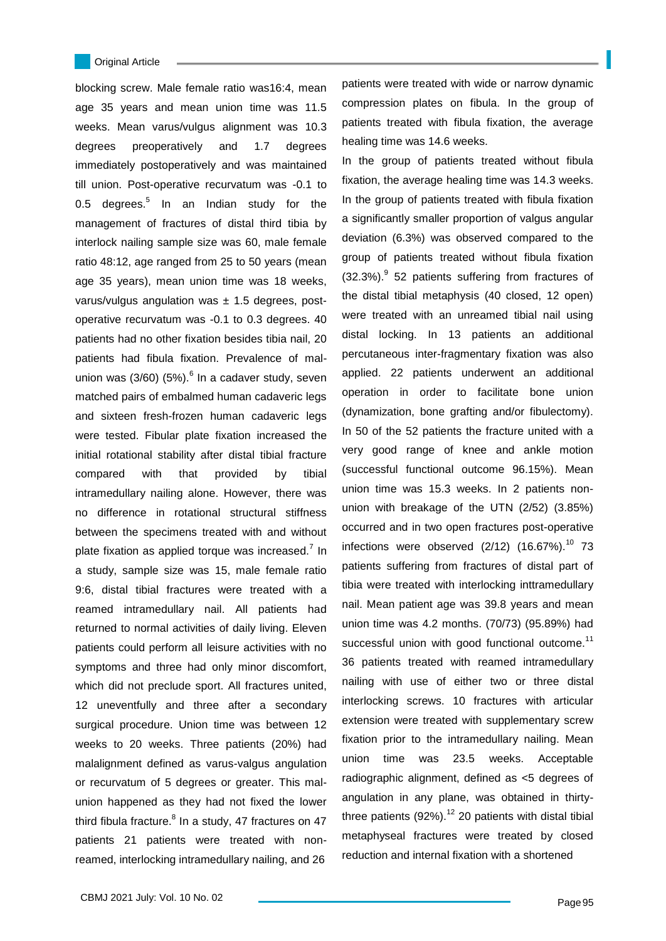#### Original Article

L

blocking screw. Male female ratio was16:4, mean age 35 years and mean union time was 11.5 weeks. Mean varus/vulgus alignment was 10.3 degrees preoperatively and 1.7 degrees immediately postoperatively and was maintained till union. Post-operative recurvatum was -0.1 to 0.5 degrees. $5$  In an Indian study for the management of fractures of distal third tibia by interlock nailing sample size was 60, male female ratio 48:12, age ranged from 25 to 50 years (mean age 35 years), mean union time was 18 weeks, varus/vulgus angulation was  $\pm$  1.5 degrees, postoperative recurvatum was -0.1 to 0.3 degrees. 40 patients had no other fixation besides tibia nail, 20 patients had fibula fixation. Prevalence of malunion was  $(3/60)$   $(5%)$ . <sup>6</sup> In a cadaver study, seven matched pairs of embalmed human cadaveric legs and sixteen fresh-frozen human cadaveric legs were tested. Fibular plate fixation increased the initial rotational stability after distal tibial fracture compared with that provided by tibial intramedullary nailing alone. However, there was no difference in rotational structural stiffness between the specimens treated with and without plate fixation as applied torque was increased.<sup>7</sup> In a study, sample size was 15, male female ratio 9:6, distal tibial fractures were treated with a reamed intramedullary nail. All patients had returned to normal activities of daily living. Eleven patients could perform all leisure activities with no symptoms and three had only minor discomfort, which did not preclude sport. All fractures united, 12 uneventfully and three after a secondary surgical procedure. Union time was between 12 weeks to 20 weeks. Three patients (20%) had malalignment defined as varus-valgus angulation or recurvatum of 5 degrees or greater. This malunion happened as they had not fixed the lower third fibula fracture.<sup>8</sup> In a study, 47 fractures on 47 patients 21 patients were treated with nonreamed, interlocking intramedullary nailing, and 26

patients were treated with wide or narrow dynamic compression plates on fibula. In the group of patients treated with fibula fixation, the average healing time was 14.6 weeks.

In the group of patients treated without fibula fixation, the average healing time was 14.3 weeks. In the group of patients treated with fibula fixation a significantly smaller proportion of valgus angular deviation (6.3%) was observed compared to the group of patients treated without fibula fixation (32.3%).<sup>9</sup> 52 patients suffering from fractures of the distal tibial metaphysis (40 closed, 12 open) were treated with an unreamed tibial nail using distal locking. In 13 patients an additional percutaneous inter-fragmentary fixation was also applied. 22 patients underwent an additional operation in order to facilitate bone union (dynamization, bone grafting and/or fibulectomy). In 50 of the 52 patients the fracture united with a very good range of knee and ankle motion (successful functional outcome 96.15%). Mean union time was 15.3 weeks. In 2 patients nonunion with breakage of the UTN (2/52) (3.85%) occurred and in two open fractures post-operative infections were observed  $(2/12)$   $(16.67%)$ .<sup>10</sup> 73 patients suffering from fractures of distal part of tibia were treated with interlocking inttramedullary nail. Mean patient age was 39.8 years and mean union time was 4.2 months. (70/73) (95.89%) had successful union with good functional outcome. $11$ 36 patients treated with reamed intramedullary nailing with use of either two or three distal interlocking screws. 10 fractures with articular extension were treated with supplementary screw fixation prior to the intramedullary nailing. Mean union time was 23.5 weeks. Acceptable radiographic alignment, defined as <5 degrees of angulation in any plane, was obtained in thirtythree patients  $(92\%)$ .<sup>12</sup> 20 patients with distal tibial metaphyseal fractures were treated by closed reduction and internal fixation with a shortened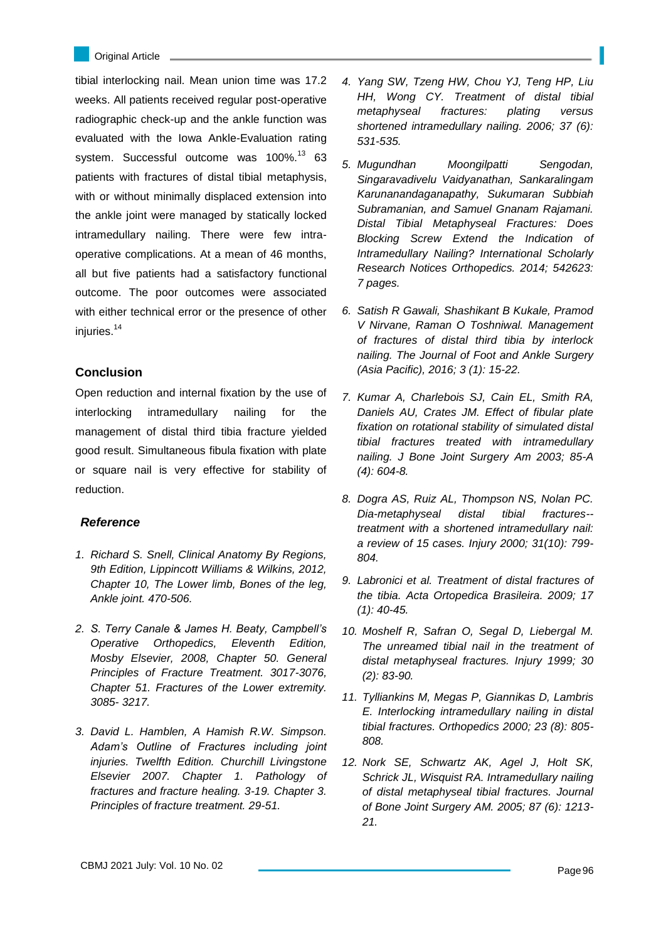tibial interlocking nail. Mean union time was 17.2 weeks. All patients received regular post-operative radiographic check-up and the ankle function was evaluated with the Iowa Ankle-Evaluation rating system. Successful outcome was 100%.<sup>13</sup> 63 patients with fractures of distal tibial metaphysis, with or without minimally displaced extension into the ankle joint were managed by statically locked intramedullary nailing. There were few intraoperative complications. At a mean of 46 months, all but five patients had a satisfactory functional outcome. The poor outcomes were associated with either technical error or the presence of other iniuries.<sup>14</sup>

## **Conclusion**

Open reduction and internal fixation by the use of interlocking intramedullary nailing for the management of distal third tibia fracture yielded good result. Simultaneous fibula fixation with plate or square nail is very effective for stability of reduction.

### *Reference*

- *1. Richard S. Snell, Clinical Anatomy By Regions, 9th Edition, Lippincott Williams & Wilkins, 2012, Chapter 10, The Lower limb, Bones of the leg, Ankle joint. 470-506.*
- *2. S. Terry Canale & James H. Beaty, Campbell's Operative Orthopedics, Eleventh Edition, Mosby Elsevier, 2008, Chapter 50. General Principles of Fracture Treatment. 3017-3076, Chapter 51. Fractures of the Lower extremity. 3085- 3217.*
- *3. David L. Hamblen, A Hamish R.W. Simpson. Adam's Outline of Fractures including joint injuries. Twelfth Edition. Churchill Livingstone Elsevier 2007. Chapter 1. Pathology of fractures and fracture healing. 3-19. Chapter 3. Principles of fracture treatment. 29-51.*
- *4. Yang SW, Tzeng HW, Chou YJ, Teng HP, Liu HH, Wong CY. Treatment of distal tibial metaphyseal fractures: plating versus shortened intramedullary nailing. 2006; 37 (6): 531-535.*
- *5. Mugundhan Moongilpatti Sengodan, Singaravadivelu Vaidyanathan, Sankaralingam Karunanandaganapathy, Sukumaran Subbiah Subramanian, and Samuel Gnanam Rajamani. Distal Tibial Metaphyseal Fractures: Does Blocking Screw Extend the Indication of Intramedullary Nailing? International Scholarly Research Notices Orthopedics. 2014; 542623: 7 pages.*
- *6. Satish R Gawali, Shashikant B Kukale, Pramod V Nirvane, Raman O Toshniwal. Management of fractures of distal third tibia by interlock nailing. The Journal of Foot and Ankle Surgery (Asia Pacific), 2016; 3 (1): 15-22.*
- *7. Kumar A, Charlebois SJ, Cain EL, Smith RA, Daniels AU, Crates JM. Effect of fibular plate fixation on rotational stability of simulated distal tibial fractures treated with intramedullary nailing. J Bone Joint Surgery Am 2003; 85-A (4): 604-8.*
- *8. Dogra AS, Ruiz AL, Thompson NS, Nolan PC. Dia-metaphyseal distal tibial fractures- treatment with a shortened intramedullary nail: a review of 15 cases. Injury 2000; 31(10): 799- 804.*
- *9. Labronici et al. Treatment of distal fractures of the tibia. Acta Ortopedica Brasileira. 2009; 17 (1): 40-45.*
- *10. Moshelf R, Safran O, Segal D, Liebergal M. The unreamed tibial nail in the treatment of distal metaphyseal fractures. Injury 1999; 30 (2): 83-90.*
- *11. Tylliankins M, Megas P, Giannikas D, Lambris E. Interlocking intramedullary nailing in distal tibial fractures. Orthopedics 2000; 23 (8): 805- 808.*
- *12. Nork SE, Schwartz AK, Agel J, Holt SK, Schrick JL, Wisquist RA. Intramedullary nailing of distal metaphyseal tibial fractures. Journal of Bone Joint Surgery AM. 2005; 87 (6): 1213- 21.*